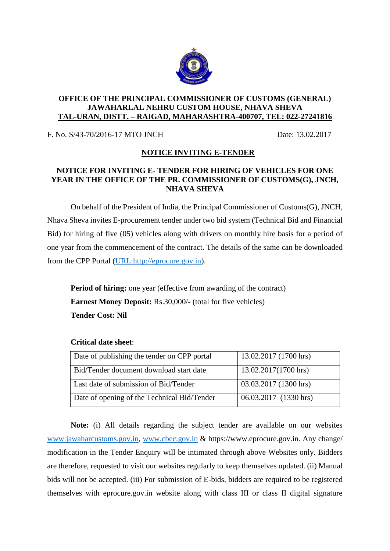

## **OFFICE OF THE PRINCIPAL COMMISSIONER OF CUSTOMS (GENERAL) JAWAHARLAL NEHRU CUSTOM HOUSE, NHAVA SHEVA TAL-URAN, DISTT. – RAIGAD, MAHARASHTRA-400707, TEL: 022-27241816**

F. No. S/43-70/2016-17 MTO JNCH Date: 13.02.2017

## **NOTICE INVITING E-TENDER**

## **NOTICE FOR INVITING E- TENDER FOR HIRING OF VEHICLES FOR ONE YEAR IN THE OFFICE OF THE PR. COMMISSIONER OF CUSTOMS(G), JNCH, NHAVA SHEVA**

On behalf of the President of India, the Principal Commissioner of Customs(G), JNCH, Nhava Sheva invites E-procurement tender under two bid system (Technical Bid and Financial Bid) for hiring of five (05) vehicles along with drivers on monthly hire basis for a period of one year from the commencement of the contract. The details of the same can be downloaded from the CPP Portal [\(URL:http://eprocure.gov.in\)](http://eprocure.gov.in/).

**Period of hiring:** one year (effective from awarding of the contract) **Earnest Money Deposit:** Rs.30,000/- (total for five vehicles) **Tender Cost: Nil**

| Date of publishing the tender on CPP portal | 13.02.2017 (1700 hrs) |
|---------------------------------------------|-----------------------|
| Bid/Tender document download start date     | 13.02.2017(1700 hrs)  |
| Last date of submission of Bid/Tender       | 03.03.2017 (1300 hrs) |
| Date of opening of the Technical Bid/Tender | 06.03.2017 (1330 hrs) |

## **Critical date sheet**:

**Note:** (i) All details regarding the subject tender are available on our websites [www.jawaharcustoms.gov.in,](http://www.jawaharcustoms.gov.in/) [www.cbec.gov.in](http://www.cbec.gov.in/) & https://www.eprocure.gov.in. Any change/ modification in the Tender Enquiry will be intimated through above Websites only. Bidders are therefore, requested to visit our websites regularly to keep themselves updated. (ii) Manual bids will not be accepted. (iii) For submission of E-bids, bidders are required to be registered themselves with eprocure.gov.in website along with class III or class II digital signature